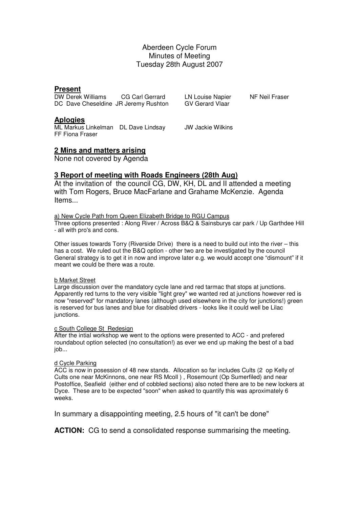## Aberdeen Cycle Forum Minutes of Meeting Tuesday 28th August 2007

### **Present**

DW Derek Williams CG Carl Gerrard LN Louise Napier NF Neil Fraser DC Dave Cheseldine JR Jeremy Rushton

### **Aplogies**

ML Markus Linkelman DL Dave Lindsay JW Jackie Wilkins FF Fiona Fraser

## **2 Mins and matters arising**

None not covered by Agenda

## **3 Report of meeting with Roads Engineers (28th Aug)**

At the invitation of the council CG, DW, KH, DL and II attended a meeting with Tom Rogers, Bruce MacFarlane and Grahame McKenzie. Agenda Items...

#### a) New Cycle Path from Queen Elizabeth Bridge to RGU Campus

Three options presented : Along River / Across B&Q & Sainsburys car park / Up Garthdee Hill - all with pro's and cons.

Other issues towards Torry (Riverside Drive) there is a need to build out into the river – this has a cost. We ruled out the B&Q option - other two are be investigated by the council General strategy is to get it in now and improve later e.g. we would accept one "dismount" if it meant we could be there was a route.

#### b Market Street

Large discussion over the mandatory cycle lane and red tarmac that stops at junctions. Apparently red turns to the very visible "light grey" we wanted red at junctions however red is now "reserved" for mandatory lanes (although used elsewhere in the city for junctions!) green is reserved for bus lanes and blue for disabled drivers - looks like it could well be Lilac junctions.

#### c South College St Redesign

After the intial workshop we went to the options were presented to ACC - and prefered roundabout option selected (no consultation!) as ever we end up making the best of a bad job...

#### d Cycle Parking

ACC is now in posession of 48 new stands. Allocation so far includes Cults (2 op Kelly of Cults one near McKinnons, one near RS Mcoll ) , Rosemount (Op Sumerfiled) and near Postoffice, Seafield (either end of cobbled sections) also noted there are to be new lockers at Dyce. These are to be expected "soon" when asked to quantify this was aproximately 6 weeks.

In summary a disappointing meeting, 2.5 hours of "it can't be done"

**ACTION:** CG to send a consolidated response summarising the meeting.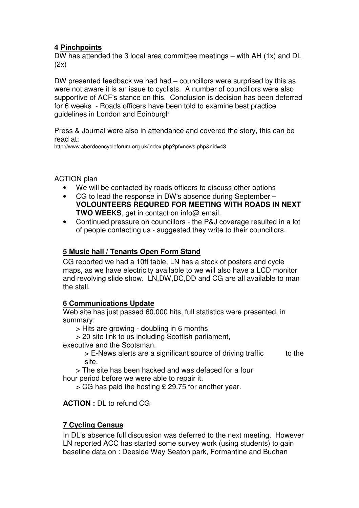# **4 Pinchpoints**

DW has attended the 3 local area committee meetings – with AH (1x) and DL  $(2x)$ 

DW presented feedback we had had – councillors were surprised by this as were not aware it is an issue to cyclists. A number of councillors were also supportive of ACF's stance on this. Conclusion is decision has been deferred for 6 weeks - Roads officers have been told to examine best practice guidelines in London and Edinburgh

Press & Journal were also in attendance and covered the story, this can be read at:

http://www.aberdeencycleforum.org.uk/index.php?pf=news.php&nid=43

ACTION plan

- We will be contacted by roads officers to discuss other options
- CG to lead the response in DW's absence during September **VOLOUNTEERS REQURED FOR MEETING WITH ROADS IN NEXT TWO WEEKS**, get in contact on info@ email.
- Continued pressure on councillors the P&J coverage resulted in a lot of people contacting us - suggested they write to their councillors.

# **5 Music hall / Tenants Open Form Stand**

CG reported we had a 10ft table, LN has a stock of posters and cycle maps, as we have electricity available to we will also have a LCD monitor and revolving slide show. LN,DW,DC,DD and CG are all available to man the stall.

# **6 Communications Update**

Web site has just passed 60,000 hits, full statistics were presented, in summary:

> Hits are growing - doubling in 6 months

> 20 site link to us including Scottish parliament,

executive and the Scotsman.

> E-News alerts are a significant source of driving traffic to the site.

 > The site has been hacked and was defaced for a four hour period before we were able to repair it.

> CG has paid the hosting £ 29.75 for another year.

**ACTION :** DL to refund CG

# **7 Cycling Census**

In DL's absence full discussion was deferred to the next meeting. However LN reported ACC has started some survey work (using students) to gain baseline data on : Deeside Way Seaton park, Formantine and Buchan